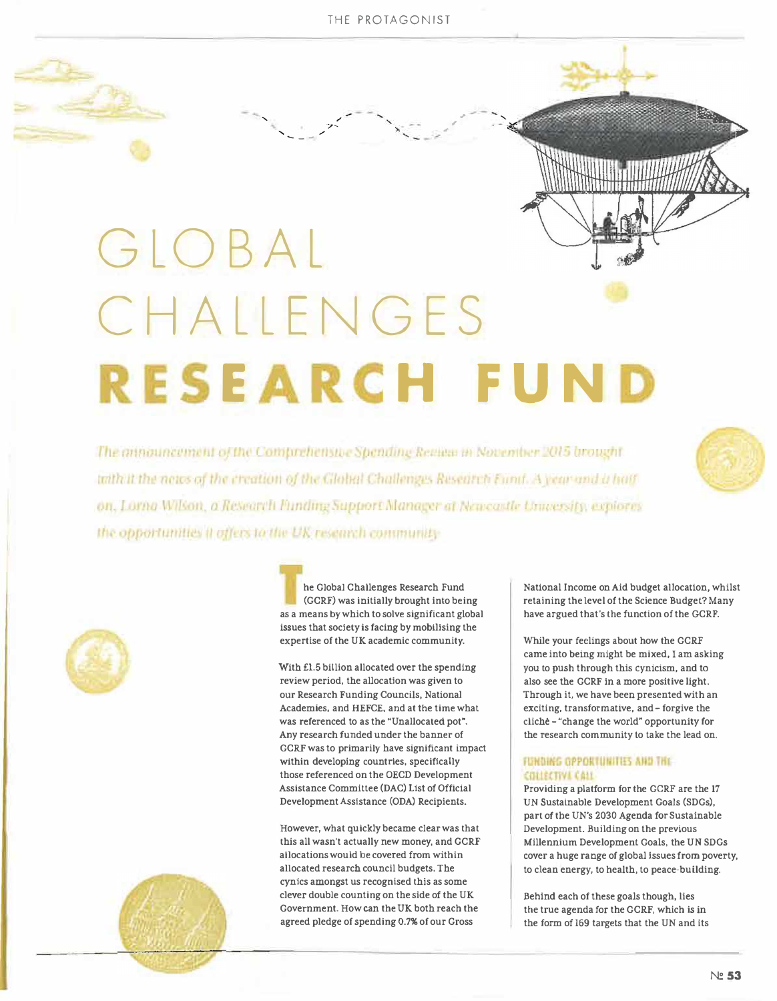, , .,

 $\mathbf{r}$ 

' */ / / / / / / / / / / / / / / /* ' (a)<br>' - - | - | - | - |

 $\mathbf{z}$ 

# GLOBAL CHALLENGES **RESEARCH FUND**

The announcement of the Comprehensive Spending Region in November 2015 brought with it the news of the creation of the Global Challenges Research Fund. A year-and a half on, Lorna Wilson, a Research Funding Support Manager at Newcastle University, explores the opportunities it offers to the UK research community-





**he Global Challenges Research Fund (GCRF) was Initially brought into being as a means by which to solve significant global**  issues that society is facing by mobilising the **expertise of the UK academic community.** 

With £1.5 billion allocated over the spending **review period, the allocation was given to our Research Funding Councils, National Academies, and HEFCE, and at the time what**  was referenced to as the "Unallocated pot". *Any* **research funded under the banner of GCRF was to primarily have significant impact within developing countries, specifically those referenced on the OECD Development Assistance Committee (DAC) List of Official DevelopmentAsslstance (ODA) Recipients.** 

However, what quickly became clear was that **this all wasn't actually new money, and GCRF allocations would be covered from within allocated research council budgets. The cynics amongst us recognised thls as some clever double counting on the side of the UK Government. How can the UK both reach the agreed pledge of spending 0.7% of our Gross** 

**National Income on Aid budget allocation, whilst retaining the level of the Science Budget? Many have argued that's lhe function of the GCRF.** 

**While your feelings about how the GCRF came into being might be mixed, I am asking you to push through this cynicism, and to also see the GCRF In a more positive light. Through it, we have been presented with an exciting, transformative, and- forgive the clicM - "change the world" opportunity for the research community to take the lead on.** 

## **FUNDING OPPORTUNITIES AND THE** COLLECTIVE CALL

**Providing a platform for the GCRF are the 17 UN Sustainable Development Goals (SDGs), part** *of* **the UN's 2030 Agenda for Sustainable Development. Building on the previous Millennium Development Goals, the UN SDGs cover a huge range of global issues from poverty, to clean energy, to health, to peace-building.** 

**Behind each of these goals though, lies the true agenda** *for* **the GCRF, which is In the form of 169 targets that the UN and Its**